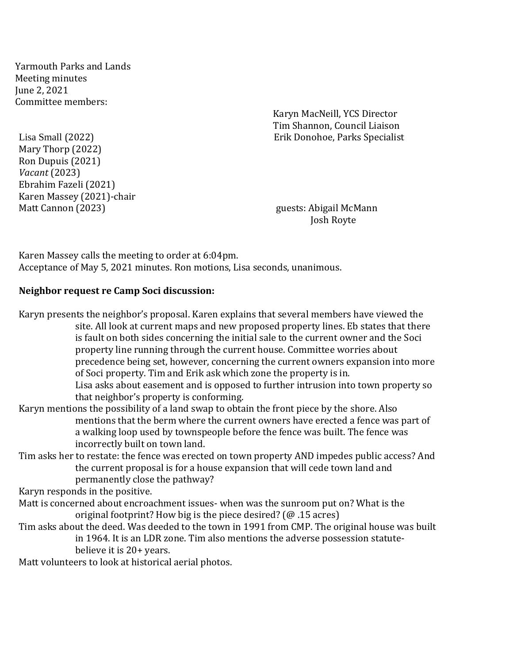Yarmouth Parks and Lands Meeting minutes June 2, 2021 Committee members:

Karyn MacNeill, YCS Director Tim Shannon, Council Liaison Lisa Small (2022) Erik Donohoe, Parks Specialist

Mary Thorp (2022) Ron Dupuis (2021) *Vacant* (2023) Ebrahim Fazeli (2021) Karen Massey (2021)-chair Matt Cannon (2023) guests: Abigail McMann

Josh Royte

Karen Massey calls the meeting to order at 6:04pm. Acceptance of May 5, 2021 minutes. Ron motions, Lisa seconds, unanimous.

### **Neighbor request re Camp Soci discussion:**

Karyn presents the neighbor's proposal. Karen explains that several members have viewed the site. All look at current maps and new proposed property lines. Eb states that there is fault on both sides concerning the initial sale to the current owner and the Soci property line running through the current house. Committee worries about precedence being set, however, concerning the current owners expansion into more of Soci property. Tim and Erik ask which zone the property is in. Lisa asks about easement and is opposed to further intrusion into town property so that neighbor's property is conforming.

## Karyn mentions the possibility of a land swap to obtain the front piece by the shore. Also mentions that the berm where the current owners have erected a fence was part of a walking loop used by townspeople before the fence was built. The fence was incorrectly built on town land.

Tim asks her to restate: the fence was erected on town property AND impedes public access? And the current proposal is for a house expansion that will cede town land and permanently close the pathway?

Karyn responds in the positive.

- Matt is concerned about encroachment issues- when was the sunroom put on? What is the original footprint? How big is the piece desired? (@ .15 acres)
- Tim asks about the deed. Was deeded to the town in 1991 from CMP. The original house was built in 1964. It is an LDR zone. Tim also mentions the adverse possession statutebelieve it is 20+ years.

Matt volunteers to look at historical aerial photos.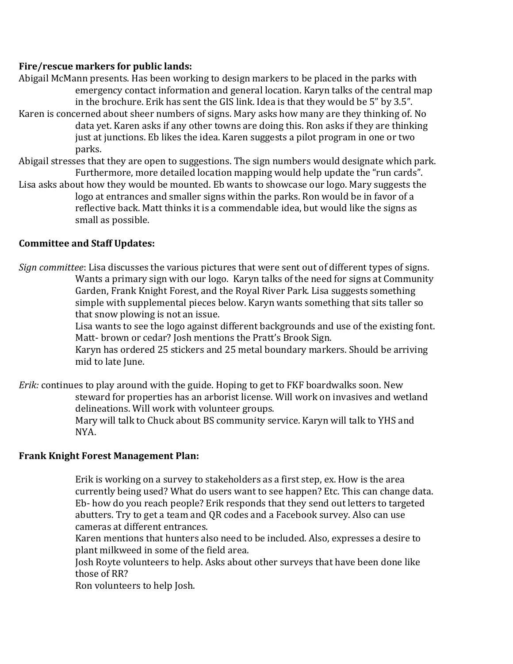## **Fire/rescue markers for public lands:**

Abigail McMann presents. Has been working to design markers to be placed in the parks with emergency contact information and general location. Karyn talks of the central map in the brochure. Erik has sent the GIS link. Idea is that they would be 5" by 3.5". Karen is concerned about sheer numbers of signs. Mary asks how many are they thinking of. No data yet. Karen asks if any other towns are doing this. Ron asks if they are thinking just at junctions. Eb likes the idea. Karen suggests a pilot program in one or two parks. Abigail stresses that they are open to suggestions. The sign numbers would designate which park. Furthermore, more detailed location mapping would help update the "run cards".

Lisa asks about how they would be mounted. Eb wants to showcase our logo. Mary suggests the logo at entrances and smaller signs within the parks. Ron would be in favor of a reflective back. Matt thinks it is a commendable idea, but would like the signs as small as possible.

# **Committee and Staff Updates:**

*Sign committee*: Lisa discusses the various pictures that were sent out of different types of signs. Wants a primary sign with our logo. Karyn talks of the need for signs at Community Garden, Frank Knight Forest, and the Royal River Park. Lisa suggests something simple with supplemental pieces below. Karyn wants something that sits taller so that snow plowing is not an issue.

Lisa wants to see the logo against different backgrounds and use of the existing font. Matt- brown or cedar? Josh mentions the Pratt's Brook Sign.

Karyn has ordered 25 stickers and 25 metal boundary markers. Should be arriving mid to late June.

*Erik:* continues to play around with the guide. Hoping to get to FKF boardwalks soon. New steward for properties has an arborist license. Will work on invasives and wetland delineations. Will work with volunteer groups. Mary will talk to Chuck about BS community service. Karyn will talk to YHS and NYA.

## **Frank Knight Forest Management Plan:**

Erik is working on a survey to stakeholders as a first step, ex. How is the area currently being used? What do users want to see happen? Etc. This can change data. Eb- how do you reach people? Erik responds that they send out letters to targeted abutters. Try to get a team and QR codes and a Facebook survey. Also can use cameras at different entrances.

Karen mentions that hunters also need to be included. Also, expresses a desire to plant milkweed in some of the field area.

Josh Royte volunteers to help. Asks about other surveys that have been done like those of RR?

Ron volunteers to help Josh.